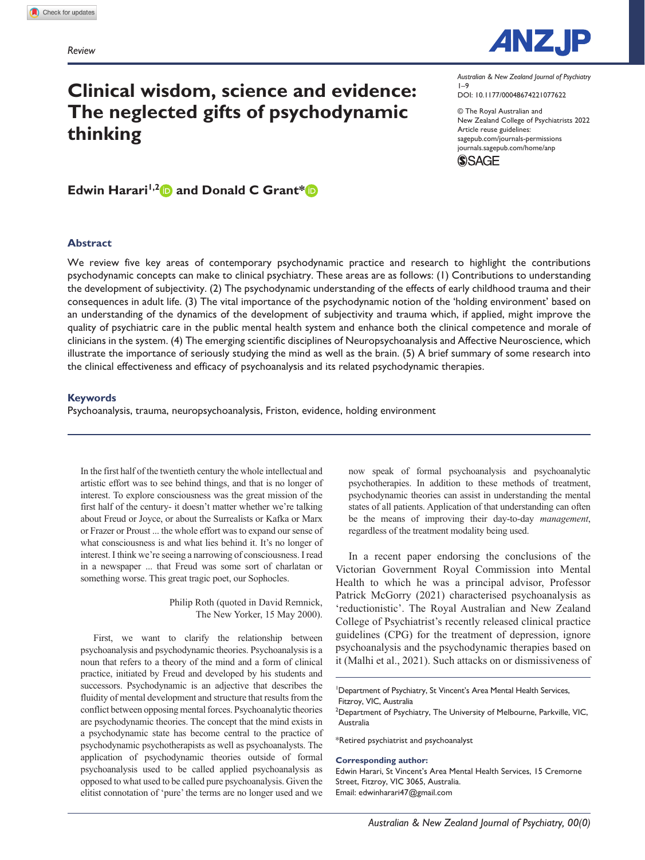

# **Clinical wisdom, science and evidence: The neglected gifts of psychodynamic thinking**

DOI: 10.1177/00048674221077622 *Australian & New Zealand Journal of Psychiatry* 1–9

© The Royal Australian and New Zealand College of Psychiatrists 2022 Article reuse guidelines: [sagepub.com/journals-permissions](https://uk.sagepub.com/en-gb/journals-permissions) [journals.sagepub.com/home/anp](https://journals.sagepub.com/home/anp)



## **Edwin Harari<sup>1,2</sup> and Donald C Grant\***

#### **Abstract**

We review five key areas of contemporary psychodynamic practice and research to highlight the contributions psychodynamic concepts can make to clinical psychiatry. These areas are as follows: (1) Contributions to understanding the development of subjectivity. (2) The psychodynamic understanding of the effects of early childhood trauma and their consequences in adult life. (3) The vital importance of the psychodynamic notion of the 'holding environment' based on an understanding of the dynamics of the development of subjectivity and trauma which, if applied, might improve the quality of psychiatric care in the public mental health system and enhance both the clinical competence and morale of clinicians in the system. (4) The emerging scientific disciplines of Neuropsychoanalysis and Affective Neuroscience, which illustrate the importance of seriously studying the mind as well as the brain. (5) A brief summary of some research into the clinical effectiveness and efficacy of psychoanalysis and its related psychodynamic therapies.

#### **Keywords**

Psychoanalysis, trauma, neuropsychoanalysis, Friston, evidence, holding environment

In the first half of the twentieth century the whole intellectual and artistic effort was to see behind things, and that is no longer of interest. To explore consciousness was the great mission of the first half of the century- it doesn't matter whether we're talking about Freud or Joyce, or about the Surrealists or Kafka or Marx or Frazer or Proust ... the whole effort was to expand our sense of what consciousness is and what lies behind it. It's no longer of interest. I think we're seeing a narrowing of consciousness. I read in a newspaper ... that Freud was some sort of charlatan or something worse. This great tragic poet, our Sophocles.

> Philip Roth (quoted in David Remnick, The New Yorker, 15 May 2000).

First, we want to clarify the relationship between psychoanalysis and psychodynamic theories. Psychoanalysis is a noun that refers to a theory of the mind and a form of clinical practice, initiated by Freud and developed by his students and successors. Psychodynamic is an adjective that describes the fluidity of mental development and structure that results from the conflict between opposing mental forces. Psychoanalytic theories are psychodynamic theories. The concept that the mind exists in a psychodynamic state has become central to the practice of psychodynamic psychotherapists as well as psychoanalysts. The application of psychodynamic theories outside of formal psychoanalysis used to be called applied psychoanalysis as opposed to what used to be called pure psychoanalysis. Given the elitist connotation of 'pure' the terms are no longer used and we

now speak of formal psychoanalysis and psychoanalytic psychotherapies. In addition to these methods of treatment, psychodynamic theories can assist in understanding the mental states of all patients. Application of that understanding can often be the means of improving their day-to-day *management*, regardless of the treatment modality being used.

In a recent paper endorsing the conclusions of the Victorian Government Royal Commission into Mental Health to which he was a principal advisor, Professor Patrick McGorry (2021) characterised psychoanalysis as 'reductionistic'. The Royal Australian and New Zealand College of Psychiatrist's recently released clinical practice guidelines (CPG) for the treatment of depression, ignore psychoanalysis and the psychodynamic therapies based on it (Malhi et al., 2021). Such attacks on or dismissiveness of

<sup>1</sup>Department of Psychiatry, St Vincent's Area Mental Health Services, Fitzroy, VIC, Australia

<sup>2</sup>Department of Psychiatry, The University of Melbourne, Parkville, VIC, Australia

\*Retired psychiatrist and psychoanalyst

#### **Corresponding author:**

Edwin Harari, St Vincent's Area Mental Health Services, 15 Cremorne Street, Fitzroy, VIC 3065, Australia. Email: [edwinharari47@gmail.com](mailto:edwinharari47@gmail.com)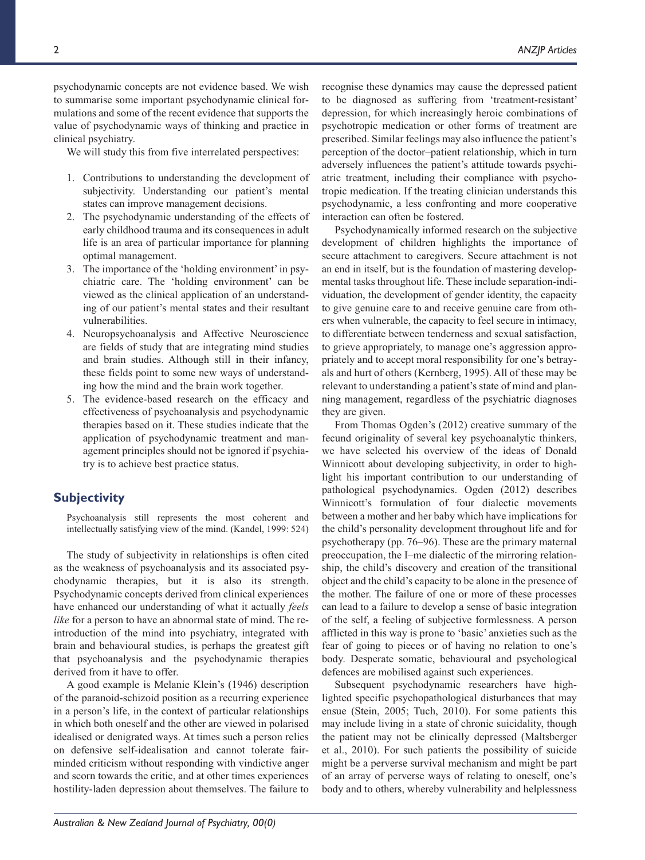psychodynamic concepts are not evidence based. We wish to summarise some important psychodynamic clinical formulations and some of the recent evidence that supports the value of psychodynamic ways of thinking and practice in clinical psychiatry.

We will study this from five interrelated perspectives:

- 1. Contributions to understanding the development of subjectivity. Understanding our patient's mental states can improve management decisions.
- 2. The psychodynamic understanding of the effects of early childhood trauma and its consequences in adult life is an area of particular importance for planning optimal management.
- 3. The importance of the 'holding environment' in psychiatric care. The 'holding environment' can be viewed as the clinical application of an understanding of our patient's mental states and their resultant vulnerabilities.
- 4. Neuropsychoanalysis and Affective Neuroscience are fields of study that are integrating mind studies and brain studies. Although still in their infancy, these fields point to some new ways of understanding how the mind and the brain work together.
- 5. The evidence-based research on the efficacy and effectiveness of psychoanalysis and psychodynamic therapies based on it. These studies indicate that the application of psychodynamic treatment and management principles should not be ignored if psychiatry is to achieve best practice status.

## **Subjectivity**

Psychoanalysis still represents the most coherent and intellectually satisfying view of the mind. (Kandel, 1999: 524)

The study of subjectivity in relationships is often cited as the weakness of psychoanalysis and its associated psychodynamic therapies, but it is also its strength. Psychodynamic concepts derived from clinical experiences have enhanced our understanding of what it actually *feels like* for a person to have an abnormal state of mind. The reintroduction of the mind into psychiatry, integrated with brain and behavioural studies, is perhaps the greatest gift that psychoanalysis and the psychodynamic therapies derived from it have to offer.

A good example is Melanie Klein's (1946) description of the paranoid-schizoid position as a recurring experience in a person's life, in the context of particular relationships in which both oneself and the other are viewed in polarised idealised or denigrated ways. At times such a person relies on defensive self-idealisation and cannot tolerate fairminded criticism without responding with vindictive anger and scorn towards the critic, and at other times experiences hostility-laden depression about themselves. The failure to recognise these dynamics may cause the depressed patient to be diagnosed as suffering from 'treatment-resistant' depression, for which increasingly heroic combinations of psychotropic medication or other forms of treatment are prescribed. Similar feelings may also influence the patient's perception of the doctor–patient relationship, which in turn adversely influences the patient's attitude towards psychiatric treatment, including their compliance with psychotropic medication. If the treating clinician understands this psychodynamic, a less confronting and more cooperative interaction can often be fostered.

Psychodynamically informed research on the subjective development of children highlights the importance of secure attachment to caregivers. Secure attachment is not an end in itself, but is the foundation of mastering developmental tasks throughout life. These include separation-individuation, the development of gender identity, the capacity to give genuine care to and receive genuine care from others when vulnerable, the capacity to feel secure in intimacy, to differentiate between tenderness and sexual satisfaction, to grieve appropriately, to manage one's aggression appropriately and to accept moral responsibility for one's betrayals and hurt of others (Kernberg, 1995). All of these may be relevant to understanding a patient's state of mind and planning management, regardless of the psychiatric diagnoses they are given.

From Thomas Ogden's (2012) creative summary of the fecund originality of several key psychoanalytic thinkers, we have selected his overview of the ideas of Donald Winnicott about developing subjectivity, in order to highlight his important contribution to our understanding of pathological psychodynamics. Ogden (2012) describes Winnicott's formulation of four dialectic movements between a mother and her baby which have implications for the child's personality development throughout life and for psychotherapy (pp. 76–96). These are the primary maternal preoccupation, the I–me dialectic of the mirroring relationship, the child's discovery and creation of the transitional object and the child's capacity to be alone in the presence of the mother. The failure of one or more of these processes can lead to a failure to develop a sense of basic integration of the self, a feeling of subjective formlessness. A person afflicted in this way is prone to 'basic' anxieties such as the fear of going to pieces or of having no relation to one's body. Desperate somatic, behavioural and psychological defences are mobilised against such experiences.

Subsequent psychodynamic researchers have highlighted specific psychopathological disturbances that may ensue (Stein, 2005; Tuch, 2010). For some patients this may include living in a state of chronic suicidality, though the patient may not be clinically depressed (Maltsberger et al., 2010). For such patients the possibility of suicide might be a perverse survival mechanism and might be part of an array of perverse ways of relating to oneself, one's body and to others, whereby vulnerability and helplessness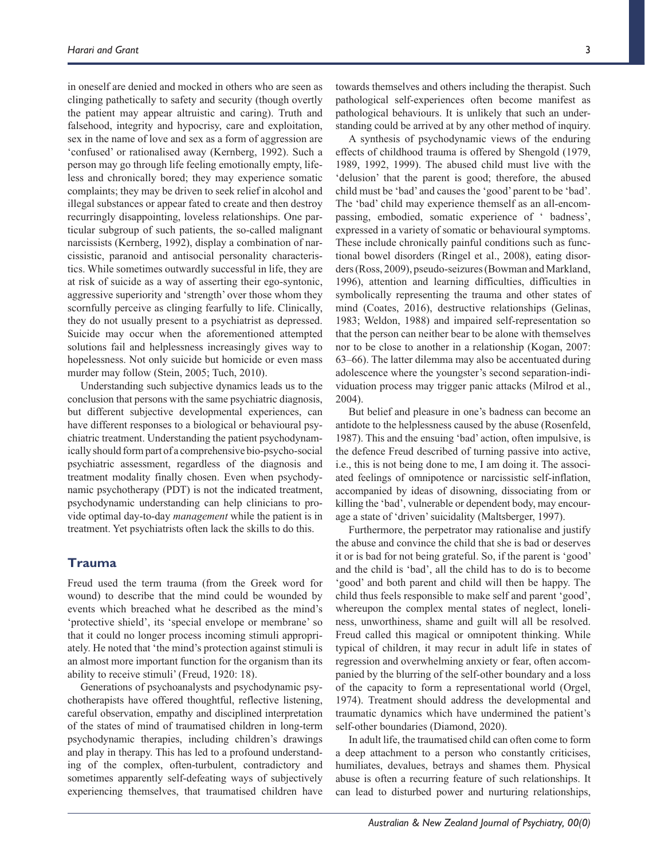in oneself are denied and mocked in others who are seen as clinging pathetically to safety and security (though overtly the patient may appear altruistic and caring). Truth and falsehood, integrity and hypocrisy, care and exploitation, sex in the name of love and sex as a form of aggression are 'confused' or rationalised away (Kernberg, 1992). Such a person may go through life feeling emotionally empty, lifeless and chronically bored; they may experience somatic complaints; they may be driven to seek relief in alcohol and illegal substances or appear fated to create and then destroy recurringly disappointing, loveless relationships. One particular subgroup of such patients, the so-called malignant narcissists (Kernberg, 1992), display a combination of narcissistic, paranoid and antisocial personality characteristics. While sometimes outwardly successful in life, they are at risk of suicide as a way of asserting their ego-syntonic, aggressive superiority and 'strength' over those whom they scornfully perceive as clinging fearfully to life. Clinically, they do not usually present to a psychiatrist as depressed. Suicide may occur when the aforementioned attempted solutions fail and helplessness increasingly gives way to hopelessness. Not only suicide but homicide or even mass murder may follow (Stein, 2005; Tuch, 2010).

Understanding such subjective dynamics leads us to the conclusion that persons with the same psychiatric diagnosis, but different subjective developmental experiences, can have different responses to a biological or behavioural psychiatric treatment. Understanding the patient psychodynamically should form part of a comprehensive bio-psycho-social psychiatric assessment, regardless of the diagnosis and treatment modality finally chosen. Even when psychodynamic psychotherapy (PDT) is not the indicated treatment, psychodynamic understanding can help clinicians to provide optimal day-to-day *management* while the patient is in treatment. Yet psychiatrists often lack the skills to do this.

### **Trauma**

Freud used the term trauma (from the Greek word for wound) to describe that the mind could be wounded by events which breached what he described as the mind's 'protective shield', its 'special envelope or membrane' so that it could no longer process incoming stimuli appropriately. He noted that 'the mind's protection against stimuli is an almost more important function for the organism than its ability to receive stimuli' (Freud, 1920: 18).

Generations of psychoanalysts and psychodynamic psychotherapists have offered thoughtful, reflective listening, careful observation, empathy and disciplined interpretation of the states of mind of traumatised children in long-term psychodynamic therapies, including children's drawings and play in therapy. This has led to a profound understanding of the complex, often-turbulent, contradictory and sometimes apparently self-defeating ways of subjectively experiencing themselves, that traumatised children have towards themselves and others including the therapist. Such pathological self-experiences often become manifest as pathological behaviours. It is unlikely that such an understanding could be arrived at by any other method of inquiry.

A synthesis of psychodynamic views of the enduring effects of childhood trauma is offered by Shengold (1979, 1989, 1992, 1999). The abused child must live with the 'delusion' that the parent is good; therefore, the abused child must be 'bad' and causes the 'good' parent to be 'bad'. The 'bad' child may experience themself as an all-encompassing, embodied, somatic experience of ' badness', expressed in a variety of somatic or behavioural symptoms. These include chronically painful conditions such as functional bowel disorders (Ringel et al., 2008), eating disorders (Ross, 2009), pseudo-seizures (Bowman and Markland, 1996), attention and learning difficulties, difficulties in symbolically representing the trauma and other states of mind (Coates, 2016), destructive relationships (Gelinas, 1983; Weldon, 1988) and impaired self-representation so that the person can neither bear to be alone with themselves nor to be close to another in a relationship (Kogan, 2007: 63–66). The latter dilemma may also be accentuated during adolescence where the youngster's second separation-individuation process may trigger panic attacks (Milrod et al., 2004).

But belief and pleasure in one's badness can become an antidote to the helplessness caused by the abuse (Rosenfeld, 1987). This and the ensuing 'bad' action, often impulsive, is the defence Freud described of turning passive into active, i.e., this is not being done to me, I am doing it. The associated feelings of omnipotence or narcissistic self-inflation, accompanied by ideas of disowning, dissociating from or killing the 'bad', vulnerable or dependent body, may encourage a state of 'driven' suicidality (Maltsberger, 1997).

Furthermore, the perpetrator may rationalise and justify the abuse and convince the child that she is bad or deserves it or is bad for not being grateful. So, if the parent is 'good' and the child is 'bad', all the child has to do is to become 'good' and both parent and child will then be happy. The child thus feels responsible to make self and parent 'good', whereupon the complex mental states of neglect, loneliness, unworthiness, shame and guilt will all be resolved. Freud called this magical or omnipotent thinking. While typical of children, it may recur in adult life in states of regression and overwhelming anxiety or fear, often accompanied by the blurring of the self-other boundary and a loss of the capacity to form a representational world (Orgel, 1974). Treatment should address the developmental and traumatic dynamics which have undermined the patient's self-other boundaries (Diamond, 2020).

In adult life, the traumatised child can often come to form a deep attachment to a person who constantly criticises, humiliates, devalues, betrays and shames them. Physical abuse is often a recurring feature of such relationships. It can lead to disturbed power and nurturing relationships,